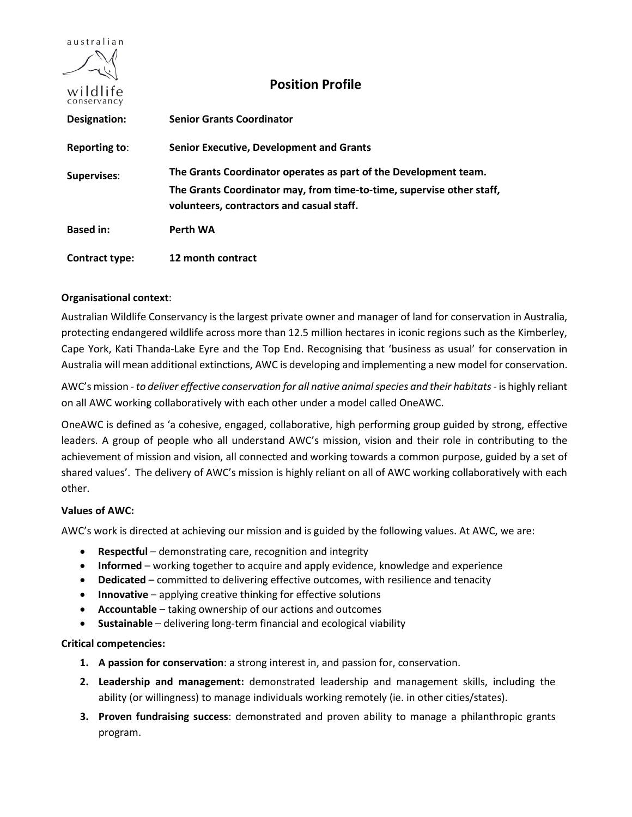

# **Position Profile**

| CULIST VALICY        |                                                                                                                                                                                        |
|----------------------|----------------------------------------------------------------------------------------------------------------------------------------------------------------------------------------|
| Designation:         | <b>Senior Grants Coordinator</b>                                                                                                                                                       |
| <b>Reporting to:</b> | <b>Senior Executive, Development and Grants</b>                                                                                                                                        |
| <b>Supervises:</b>   | The Grants Coordinator operates as part of the Development team.<br>The Grants Coordinator may, from time-to-time, supervise other staff,<br>volunteers, contractors and casual staff. |
| <b>Based in:</b>     | Perth WA                                                                                                                                                                               |
| Contract type:       | 12 month contract                                                                                                                                                                      |

## **Organisational context**:

Australian Wildlife Conservancy is the largest private owner and manager of land for conservation in Australia, protecting endangered wildlife across more than 12.5 million hectares in iconic regions such as the Kimberley, Cape York, Kati Thanda-Lake Eyre and the Top End. Recognising that 'business as usual' for conservation in Australia will mean additional extinctions, AWC is developing and implementing a new model for conservation.

AWC's mission - *to deliver effective conservation for all native animal species and their habitats*- is highly reliant on all AWC working collaboratively with each other under a model called OneAWC.

OneAWC is defined as 'a cohesive, engaged, collaborative, high performing group guided by strong, effective leaders. A group of people who all understand AWC's mission, vision and their role in contributing to the achievement of mission and vision, all connected and working towards a common purpose, guided by a set of shared values'. The delivery of AWC's mission is highly reliant on all of AWC working collaboratively with each other.

# **Values of AWC:**

AWC's work is directed at achieving our mission and is guided by the following values. At AWC, we are:

- **Respectful** demonstrating care, recognition and integrity
- **Informed** working together to acquire and apply evidence, knowledge and experience
- **Dedicated** committed to delivering effective outcomes, with resilience and tenacity
- **Innovative** applying creative thinking for effective solutions
- **Accountable** taking ownership of our actions and outcomes
- **Sustainable** delivering long-term financial and ecological viability

### **Critical competencies:**

- **1. A passion for conservation**: a strong interest in, and passion for, conservation.
- **2. Leadership and management:** demonstrated leadership and management skills, including the ability (or willingness) to manage individuals working remotely (ie. in other cities/states).
- **3. Proven fundraising success**: demonstrated and proven ability to manage a philanthropic grants program.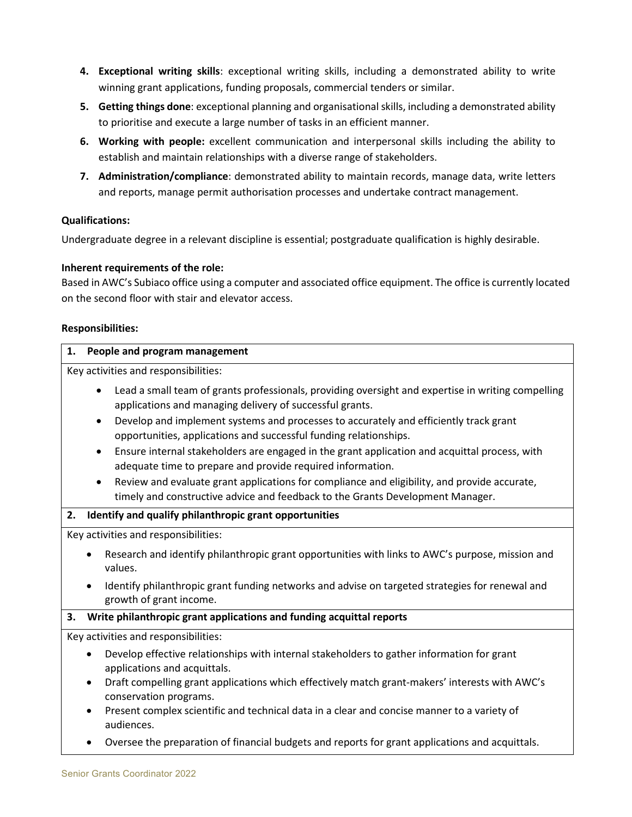- **4. Exceptional writing skills**: exceptional writing skills, including a demonstrated ability to write winning grant applications, funding proposals, commercial tenders or similar.
- **5. Getting things done**: exceptional planning and organisational skills, including a demonstrated ability to prioritise and execute a large number of tasks in an efficient manner.
- **6. Working with people:** excellent communication and interpersonal skills including the ability to establish and maintain relationships with a diverse range of stakeholders.
- **7. Administration/compliance**: demonstrated ability to maintain records, manage data, write letters and reports, manage permit authorisation processes and undertake contract management.

## **Qualifications:**

Undergraduate degree in a relevant discipline is essential; postgraduate qualification is highly desirable.

## **Inherent requirements of the role:**

Based in AWC's Subiaco office using a computer and associated office equipment. The office is currently located on the second floor with stair and elevator access.

### **Responsibilities:**

| People and program management<br>1.                                                                                                                                                                                                                                                                                                                                                                                                                                                                                                                                                                                                                                                                                  |  |
|----------------------------------------------------------------------------------------------------------------------------------------------------------------------------------------------------------------------------------------------------------------------------------------------------------------------------------------------------------------------------------------------------------------------------------------------------------------------------------------------------------------------------------------------------------------------------------------------------------------------------------------------------------------------------------------------------------------------|--|
| Key activities and responsibilities:                                                                                                                                                                                                                                                                                                                                                                                                                                                                                                                                                                                                                                                                                 |  |
| Lead a small team of grants professionals, providing oversight and expertise in writing compelling<br>applications and managing delivery of successful grants.<br>Develop and implement systems and processes to accurately and efficiently track grant<br>$\bullet$<br>opportunities, applications and successful funding relationships.<br>Ensure internal stakeholders are engaged in the grant application and acquittal process, with<br>$\bullet$<br>adequate time to prepare and provide required information.<br>Review and evaluate grant applications for compliance and eligibility, and provide accurate,<br>$\bullet$<br>timely and constructive advice and feedback to the Grants Development Manager. |  |
| Identify and qualify philanthropic grant opportunities<br>2.                                                                                                                                                                                                                                                                                                                                                                                                                                                                                                                                                                                                                                                         |  |
| Key activities and responsibilities:                                                                                                                                                                                                                                                                                                                                                                                                                                                                                                                                                                                                                                                                                 |  |
| Research and identify philanthropic grant opportunities with links to AWC's purpose, mission and<br>values.                                                                                                                                                                                                                                                                                                                                                                                                                                                                                                                                                                                                          |  |
| Identify philanthropic grant funding networks and advise on targeted strategies for renewal and<br>$\bullet$<br>growth of grant income.                                                                                                                                                                                                                                                                                                                                                                                                                                                                                                                                                                              |  |
| Write philanthropic grant applications and funding acquittal reports<br>3.                                                                                                                                                                                                                                                                                                                                                                                                                                                                                                                                                                                                                                           |  |
| Key activities and responsibilities:                                                                                                                                                                                                                                                                                                                                                                                                                                                                                                                                                                                                                                                                                 |  |
| Develop effective relationships with internal stakeholders to gather information for grant<br>$\bullet$<br>applications and acquittals.<br>Draft compelling grant applications which effectively match grant-makers' interests with AWC's<br>$\bullet$<br>conservation programs.<br>Present complex scientific and technical data in a clear and concise manner to a variety of<br>$\bullet$<br>audiences.                                                                                                                                                                                                                                                                                                           |  |
| Oversee the preparation of financial budgets and reports for grant applications and acquittals.<br>$\bullet$                                                                                                                                                                                                                                                                                                                                                                                                                                                                                                                                                                                                         |  |